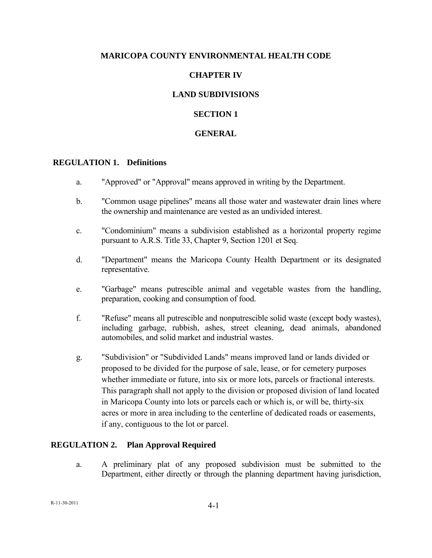### **MARICOPA COUNTY ENVIRONMENTAL HEALTH CODE**

# **CHAPTER IV**

# **LAND SUBDIVISIONS**

### **SECTION 1**

### **GENERAL**

#### **REGULATION 1. Definitions**

- a. "Approved" or "Approval" means approved in writing by the Department.
- b. "Common usage pipelines" means all those water and wastewater drain lines where the ownership and maintenance are vested as an undivided interest.
- c. "Condominium" means a subdivision established as a horizontal property regime pursuant to A.R.S. Title 33, Chapter 9, Section 1201 et Seq.
- d. "Department" means the Maricopa County Health Department or its designated representative.
- e. "Garbage" means putrescible animal and vegetable wastes from the handling, preparation, cooking and consumption of food.
- f. "Refuse" means all putrescible and nonputrescible solid waste (except body wastes), including garbage, rubbish, ashes, street cleaning, dead animals, abandoned automobiles, and solid market and industrial wastes.
- g. "Subdivision" or "Subdivided Lands" means improved land or lands divided or proposed to be divided for the purpose of sale, lease, or for cemetery purposes whether immediate or future, into six or more lots, parcels or fractional interests. This paragraph shall not apply to the division or proposed division of land located in Maricopa County into lots or parcels each or which is, or will be, thirty-six acres or more in area including to the centerline of dedicated roads or easements, if any, contiguous to the lot or parcel.

### **REGULATION 2. Plan Approval Required**

a. A preliminary plat of any proposed subdivision must be submitted to the Department, either directly or through the planning department having jurisdiction,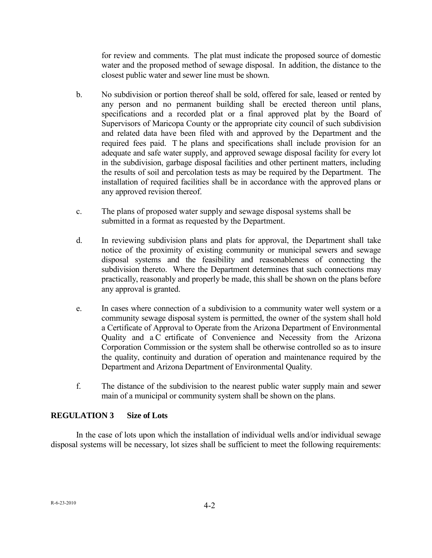for review and comments. The plat must indicate the proposed source of domestic water and the proposed method of sewage disposal. In addition, the distance to the closest public water and sewer line must be shown.

- b. No subdivision or portion thereof shall be sold, offered for sale, leased or rented by any person and no permanent building shall be erected thereon until plans, specifications and a recorded plat or a final approved plat by the Board of Supervisors of Maricopa County or the appropriate city council of such subdivision and related data have been filed with and approved by the Department and the required fees paid. T he plans and specifications shall include provision for an adequate and safe water supply, and approved sewage disposal facility for every lot in the subdivision, garbage disposal facilities and other pertinent matters, including the results of soil and percolation tests as may be required by the Department. The installation of required facilities shall be in accordance with the approved plans or any approved revision thereof.
- c. The plans of proposed water supply and sewage disposal systems shall be submitted in a format as requested by the Department.
- d. In reviewing subdivision plans and plats for approval, the Department shall take notice of the proximity of existing community or municipal sewers and sewage disposal systems and the feasibility and reasonableness of connecting the subdivision thereto. Where the Department determines that such connections may practically, reasonably and properly be made, this shall be shown on the plans before any approval is granted.
- e. In cases where connection of a subdivision to a community water well system or a community sewage disposal system is permitted, the owner of the system shall hold a Certificate of Approval to Operate from the Arizona Department of Environmental Quality and a C ertificate of Convenience and Necessity from the Arizona Corporation Commission or the system shall be otherwise controlled so as to insure the quality, continuity and duration of operation and maintenance required by the Department and Arizona Department of Environmental Quality.
- f. The distance of the subdivision to the nearest public water supply main and sewer main of a municipal or community system shall be shown on the plans.

### **REGULATION 3 Size of Lots**

In the case of lots upon which the installation of individual wells and/or individual sewage disposal systems will be necessary, lot sizes shall be sufficient to meet the following requirements: